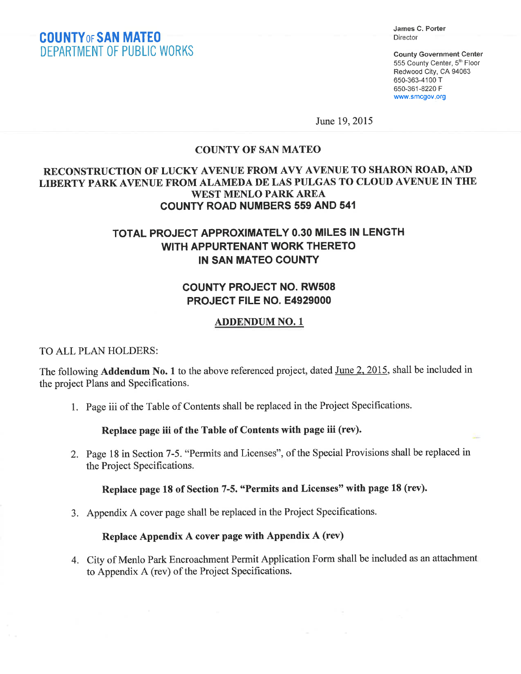## COUNTYoF SAN MATE0 DEPARTMENT OF PUBLIC WORKS

James C. Porter Director

Gounty Government Genter 555 County Center, 5th Floor Redwood City, CA 94063 650-363-4100 T 650-361-8220 F www.smcgov org

June 19,2015

## **COUNTY OF SAN MATEO**

## RECONSTRUCTION OF LUCKY AVENUE FROM AVY AVENUE TO SHARON ROAD, AND LIBERTY PARK AVENUE FROM ALAMEDA DE LAS PULGAS TO CLOUD AVENUE IN THE WEST MENLO PARK AREA COUNTY ROAD NUMBERS 559 AND 541

## TOTAL PROJECT APPROXIMATELY O.3O MILES IN LENGTH WITH APPURTENANT WORK THERETO IN SAN MATEO COUNTY

## COUNTY PROJECT NO. RW5O8 PROJECT FILE NO. E4929OOO

#### ADDENDUM NO. <sup>1</sup>

#### TO ALL PLAN HOLDERS:

The following **Addendum No. 1** to the above referenced project, dated <u>June 2, 2015</u>, shall be included in the project Plans and Specifications.

1. Page iii of the Table of Contents shall be replaced in the Project Speciflrcations.

#### Replace page iii of the Table of Contents with page iii (rev).

2. Page 18 in Section 7-5. "Permits and Licenses", of the Special Provisions shall be replaced in the Project Specifications.

#### Replace page L8 of Section 7-5. "Permits and Licenses" with page 18 (rev).

3. Appendix A cover page shall be replaced in the Project Specifications.

### Replace Appendix A cover page with Appendix A (rev)

4. City of Menlo Park Encroachment Permit Application Form shall be included as an attachment to Appendix A (rev) of the Project Specifications.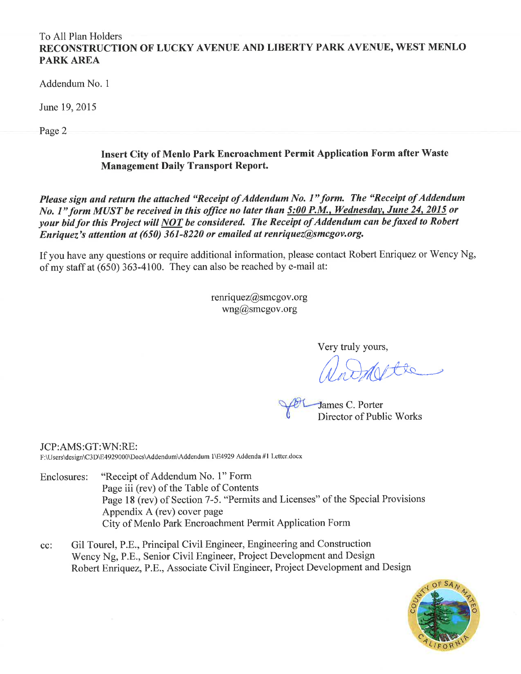## To All Plan Holders RECONSTRUCTION OF LUCKY AVENUE AND LIBERTY PARK AVENUE, WEST MENLO PARK AREA

Addendum No. <sup>1</sup>

June 19,2015

Page 2

## Insert Cify of Menlo Park Encroachment Permit Application Form after Waste Management Daily Transport Report.

Please sign and return the attached "Receipt of Addendum No. 1" form. The "Receipt of Addendum No. 1" form MUST be received in this office no later than 5:00 P.M., Wednesday, June 24, 2015 or your bid for this Project will NOT be considered. The Receipt of Addendum can be faxed to Robert Enriquez's uttentìon at (650) 361-8220 or emaíled øt renriquez@Smcgov.org.

If you have any questions or require additional information, please contact Robert Enriquez or Wency Ng, of my staff at (650) 363-4100. They can also be reached by e-mail at:

> $renriquez@smegov.org$ wng@smcgov.org

> > Very truly yours,

James C. Porter Director of Public Works

JCP:AMS:GT:WN:RE: F:\Users\design\C3D\E4929000\Docs\Addendum\Addendum 1\E4929 Addenda#1 Letter.docx

- Enclosures: "Receipt of Addendum No. 1" Form Page iii (rev) of the Table of Contents Page 18 (rev) of Section 7-5. "Permits and Licenses" of the Special Provisions Appendix A (rev) cover page City of Menlo Park Encroachment Permit Application Form
- cc: Gil Tourel, P.E., Principal Civil Engineer, Engineering and Construction Wency Ng, P.E., Senior Civil Engineer, Project Development and Design Robert Enriquez, P.E., Associate Civil Engineer, Project Development and Design

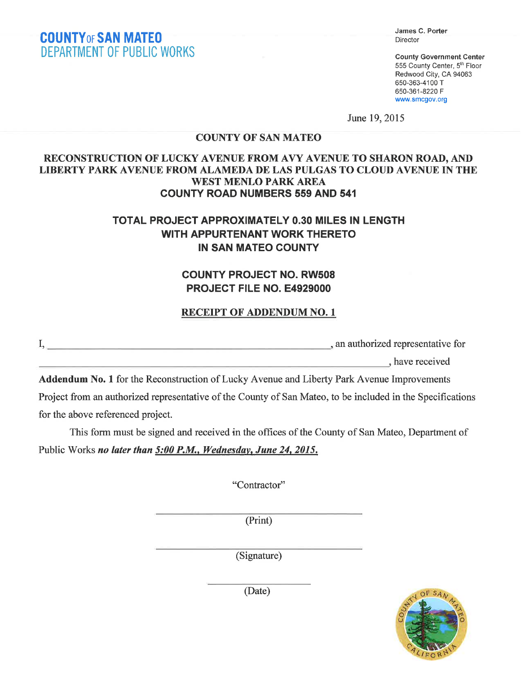James C. Porter Director

County Government Center 555 County Center, 5<sup>th</sup> Floor Redwood City, CA 94063 650-363-4100 T 650-361-8220 F www.smcgov.org

June 19,2015

## COUNTY OF SAN MATEO

### RECONSTRUCTION OF LUCKY AVENUE FROM AVY AVENUE TO SHARON ROAD, AND LIBERTY PARK AVENUE FROM ALAMEDA DE LAS PULGAS TO CLOUD AVENUE IN THE WEST MENLO PARK AREA COUNTY ROAD NUMBERS 559 AND 541

## TOTAL PROJECT APPROXIMATELY O.3O MILES IN LENGTH WITH APPURTENANT WORK THERETO IN SAN MATEO COUNTY

## COUNTY PROJECT NO. RW5O8 PROJECT FILE NO. E4929OOO

### RECEIPT OF ADDENDUM NO. 1

\ an authorized representative for

, have received

Addendum No. 1 for the Reconstruction of Lucky Avenue and Liberty Park Avenue Improvements Project from an authorized representative of the County of San Mateo, to be included in the Specifications for the above referenced project.

This form must be signed and received in the offices of the County of San Mateo, Department of Public Works no later than 5:00 P.M., Wednesday, June 24, 2015.

"Contractor"

(Print)

(Signature)



(Date)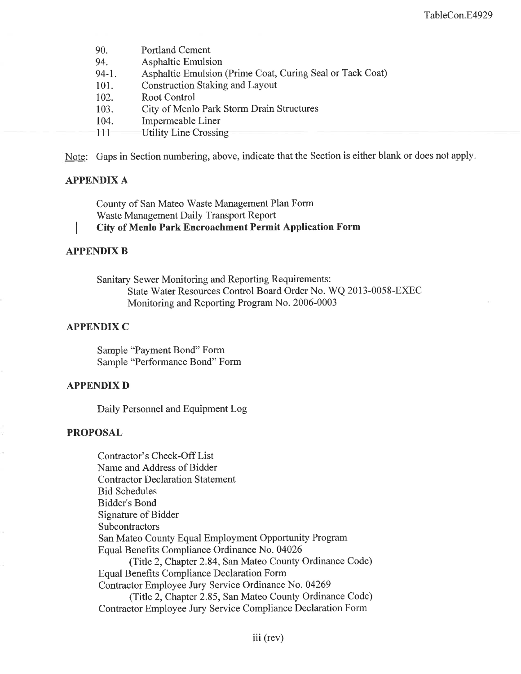| 90.<br>94. | <b>Portland Cement</b><br><b>Asphaltic Emulsion</b>       |
|------------|-----------------------------------------------------------|
| $94-1.$    | Asphaltic Emulsion (Prime Coat, Curing Seal or Tack Coat) |
| 101.       | <b>Construction Staking and Layout</b>                    |
| 102.       | Root Control                                              |
| 103.       | City of Menlo Park Storm Drain Structures                 |
| 104.       | Impermeable Liner                                         |
| 111        | Utility Line Crossing                                     |

Note: Gaps in Section numbering, above, indicate that the Section is either blank or does not apply.

#### APPENDIX A

County of San Mateo Waste Management Plan Form Waste Management Daily Transport Report

City of Menlo Park Encroachment Permit Application Form

#### APPENDIX B

Sanitary Sewer Monitoring and Reporting Requirements: State Water Resources Control Board Order No. WQ 2013-0058-EXEC Monitoring and Reporting Program No. 2006-0003

#### APPENDIX C

Sample "Payment Bond" Form Sample "Performance Bond" Form

#### APPENDIX D

Daily Personnel and Equipment Log

#### PROPOSAL

Contractor's Check-Off List Name and Address of Bidder Contractor Declaration Statement Bid Schedules Bidder's Bond Signature of Bidder Subcontractors San Mateo County Equal Employment Opportunity Program Equal Benefits Compliance Ordinance No. 04026 (Title 2, Chapter 2.84, San Mateo County Ordinance Code) Equal Benefits Compliance Declaration Form Contractor Employee Jury Service Ordinance No. 04269 (Title 2, Chapter 2.85, San Mateo County Ordinance Code) Contractor Employee Jury Service Compliance Declaration Form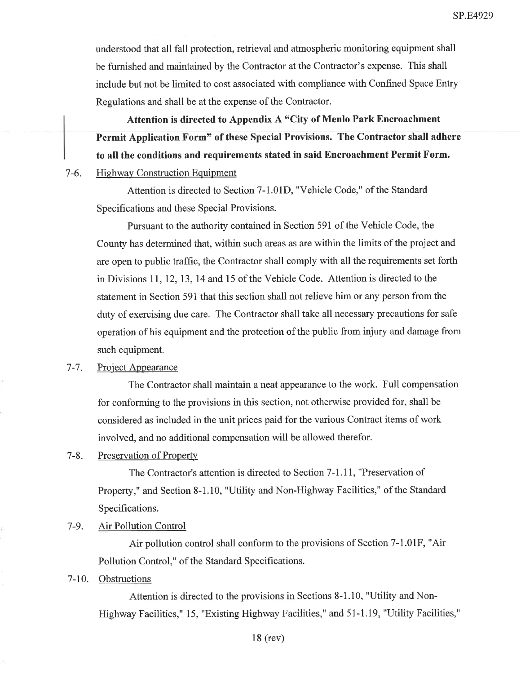understood that all fall protection, retrieval and atmospheric monitoring equipment shall be furnished and maintained by the Contractor at the Contractor's expense. This shall include but not be limited to cost associated with compliance with Confined Space Entry Regulations and shall be at the expense of the Contractor.

Attention is directed to Appendix A "City of Menlo Park Encroachment Permit Application Form" of these Special Provisions. The Contractor shall adhere to all the conditions and requirements stated in said Encroachment Permit Form.

7-6. Highway Construction Equipment

Attention is directed to Section 7-1.01D, "Vehicle Code," of the Standard Specifications and these Special Provisions.

Pursuant to the authority contained in Section 591 of the Vehicle Code, the County has determined that, within such areas as are within the limits of the project and are open to public traffic, the Contractor shall comply with all the requirements set forth in Divisions ll,12,13,14 and l5 of the Vehicle Code. Attention is directed to the statement in Section 591 that this section shall not relieve him or any person from the duty of exercising due care. The Contractor shall take all necessary precautions for safe operation of his equipment and the protection of the public from injury and damage from such equipment.

#### 7-7. Project Appearance

The Contractor shall maintain a neat appearance to the work. Full compensation for conforming to the provisions in this section, not otherwise provided for, shall be considered as included in the unit prices paid for the various Contract items of work involved, and no additional compensation will be allowed therefor.

#### 7-8. Preservation of Property

The Contractor's attention is directed to Section 7-1.11, "Preservation of Property," and Section 8-1.10, "Utility and Non-Highway Facilities," of the Standard Specifications.

#### 7-9. Air Pollution Control

Air pollution control shall conform to the provisions of Section 7-1.01F, "Air Pollution Control," of the Standard Specifications.

#### 7-10. Obstructions

Attention is directed to the provisions in Sections 8-1.10, "Utility and Non-Highway Facilities," 15, "Existing Highway Facilities," and 51-1.19, "Utility Facilities,"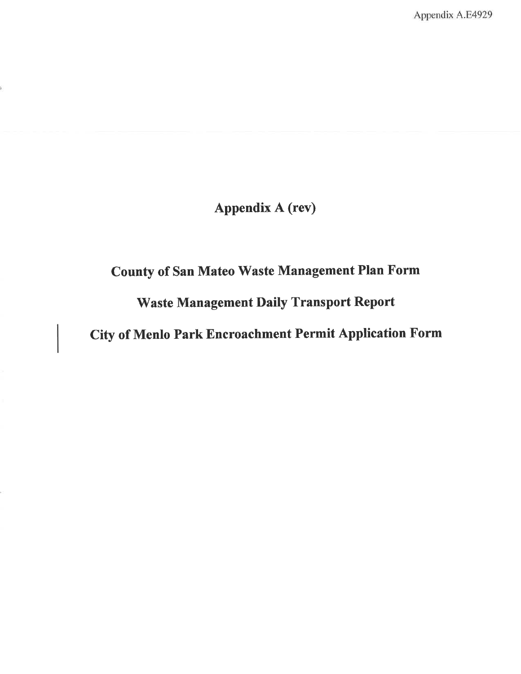Appendix A.E4929

## Appendix A (rev)

# County of San Mateo Waste Management Plan Form

## 'Waste Management Daily Transport Report

City of Menlo Park Encroachment Permit Application Form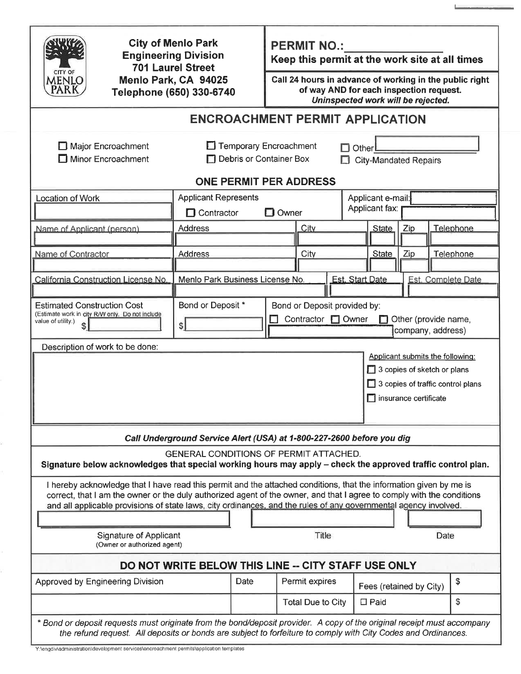| CITY OF                                                                                                                                                                                                                                  | <b>City of Menlo Park</b><br><b>Engineering Division</b><br><b>701 Laurel Street</b><br>Menlo Park, CA 94025<br>Telephone (650) 330-6740 |                              | <b>PERMIT NO.:</b><br>Keep this permit at the work site at all times                                                                     |                         |                     |    |                    |  |  |
|------------------------------------------------------------------------------------------------------------------------------------------------------------------------------------------------------------------------------------------|------------------------------------------------------------------------------------------------------------------------------------------|------------------------------|------------------------------------------------------------------------------------------------------------------------------------------|-------------------------|---------------------|----|--------------------|--|--|
| MENLO                                                                                                                                                                                                                                    |                                                                                                                                          |                              | Call 24 hours in advance of working in the public right<br>of way AND for each inspection request.<br>Uninspected work will be rejected. |                         |                     |    |                    |  |  |
| <b>ENCROACHMENT PERMIT APPLICATION</b>                                                                                                                                                                                                   |                                                                                                                                          |                              |                                                                                                                                          |                         |                     |    |                    |  |  |
| Major Encroachment<br>Minor Encroachment                                                                                                                                                                                                 | Temporary Encroachment<br><b>Other</b><br>Debris or Container Box<br><b>City-Mandated Repairs</b><br><b>ONE PERMIT PER ADDRESS</b>       |                              |                                                                                                                                          |                         |                     |    |                    |  |  |
| Location of Work                                                                                                                                                                                                                         | <b>Applicant Represents</b>                                                                                                              |                              |                                                                                                                                          |                         | Applicant e-mail:   |    |                    |  |  |
|                                                                                                                                                                                                                                          | $\Box$ Contractor                                                                                                                        |                              | $\Box$ Owner                                                                                                                             |                         | Applicant fax:      |    |                    |  |  |
|                                                                                                                                                                                                                                          |                                                                                                                                          |                              |                                                                                                                                          |                         |                     |    |                    |  |  |
| Name of Applicant (person)                                                                                                                                                                                                               | <b>Address</b>                                                                                                                           |                              | City                                                                                                                                     |                         | <b>State</b><br>Zip |    | Telephone          |  |  |
| Name of Contractor                                                                                                                                                                                                                       | <b>Address</b>                                                                                                                           |                              | City                                                                                                                                     | <b>State</b>            | Zip                 |    | Telephone          |  |  |
|                                                                                                                                                                                                                                          |                                                                                                                                          |                              |                                                                                                                                          |                         |                     |    |                    |  |  |
| California Construction License No.                                                                                                                                                                                                      | Menlo Park Business License No.                                                                                                          |                              |                                                                                                                                          | <b>Est. Start Date</b>  |                     |    | Est. Complete Date |  |  |
|                                                                                                                                                                                                                                          |                                                                                                                                          |                              |                                                                                                                                          |                         |                     |    |                    |  |  |
| <b>Estimated Construction Cost</b><br>(Estimate work in city R/W only. Do not include                                                                                                                                                    | Bond or Deposit *<br>Bond or Deposit provided by:                                                                                        |                              |                                                                                                                                          |                         |                     |    |                    |  |  |
| value of utility.)<br>$\mathsf{s}$                                                                                                                                                                                                       | Contractor <b>D</b> Owner<br>Other (provide name,<br>\$I<br>company, address)                                                            |                              |                                                                                                                                          |                         |                     |    |                    |  |  |
| Description of work to be done:                                                                                                                                                                                                          |                                                                                                                                          |                              |                                                                                                                                          |                         |                     |    |                    |  |  |
| Applicant submits the following:                                                                                                                                                                                                         |                                                                                                                                          |                              |                                                                                                                                          |                         |                     |    |                    |  |  |
|                                                                                                                                                                                                                                          |                                                                                                                                          |                              | 3 copies of sketch or plans<br>3 copies of traffic control plans                                                                         |                         |                     |    |                    |  |  |
|                                                                                                                                                                                                                                          |                                                                                                                                          | $\Box$ insurance certificate |                                                                                                                                          |                         |                     |    |                    |  |  |
|                                                                                                                                                                                                                                          |                                                                                                                                          |                              |                                                                                                                                          |                         |                     |    |                    |  |  |
|                                                                                                                                                                                                                                          |                                                                                                                                          |                              |                                                                                                                                          |                         |                     |    |                    |  |  |
| Call Underground Service Alert (USA) at 1-800-227-2600 before you dig                                                                                                                                                                    |                                                                                                                                          |                              |                                                                                                                                          |                         |                     |    |                    |  |  |
| <b>GENERAL CONDITIONS OF PERMIT ATTACHED.</b><br>Signature below acknowledges that special working hours may apply – check the approved traffic control plan.                                                                            |                                                                                                                                          |                              |                                                                                                                                          |                         |                     |    |                    |  |  |
| I hereby acknowledge that I have read this permit and the attached conditions, that the information given by me is                                                                                                                       |                                                                                                                                          |                              |                                                                                                                                          |                         |                     |    |                    |  |  |
| correct, that I am the owner or the duly authorized agent of the owner, and that I agree to comply with the conditions                                                                                                                   |                                                                                                                                          |                              |                                                                                                                                          |                         |                     |    |                    |  |  |
| and all applicable provisions of state laws, city ordinances, and the rules of any governmental agency involved.                                                                                                                         |                                                                                                                                          |                              |                                                                                                                                          |                         |                     |    |                    |  |  |
|                                                                                                                                                                                                                                          |                                                                                                                                          |                              |                                                                                                                                          |                         |                     |    |                    |  |  |
| <b>Signature of Applicant</b><br>(Owner or authorized agent)                                                                                                                                                                             |                                                                                                                                          | Title<br>Date                |                                                                                                                                          |                         |                     |    |                    |  |  |
| DO NOT WRITE BELOW THIS LINE -- CITY STAFF USE ONLY                                                                                                                                                                                      |                                                                                                                                          |                              |                                                                                                                                          |                         |                     |    |                    |  |  |
| Approved by Engineering Division                                                                                                                                                                                                         | Date                                                                                                                                     | Permit expires               |                                                                                                                                          | Fees (retained by City) |                     | \$ |                    |  |  |
|                                                                                                                                                                                                                                          |                                                                                                                                          |                              | <b>Total Due to City</b>                                                                                                                 | $\Box$ Paid             |                     |    | \$                 |  |  |
| * Bond or deposit requests must originate from the bond/deposit provider. A copy of the original receipt must accompany<br>the refund request. All deposits or bonds are subject to forfeiture to comply with City Codes and Ordinances. |                                                                                                                                          |                              |                                                                                                                                          |                         |                     |    |                    |  |  |

L,